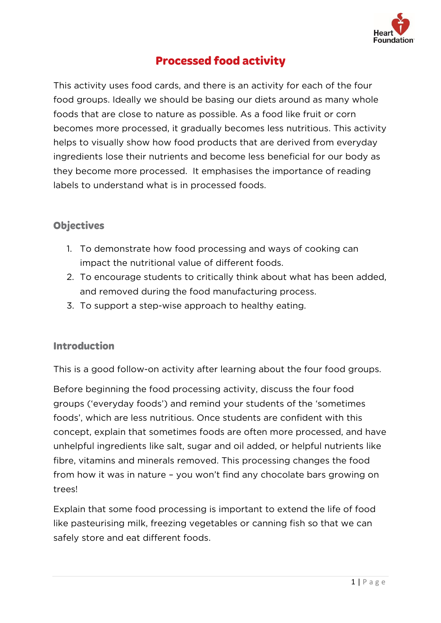

# **Processed food activity**

This activity uses food cards, and there is an activity for each of the four<br>food groups. Ideally we should be basing our diets around as many whole foods that are close to nature as possible. As a food like fruit or corn becomes more processed, it gradually becomes less nutritious. This activity helps to visually show how food products that are derived from everyday ingredients lose their nutrients and become less beneficial for our body as they become more processed. It emphasises the importance of reading labels to understand what is in processed foods. labels to understand what is in processed foods.

### **Objectives**

- 1. To demonstrate how food processing and ways of cooking can<br>impact the nutritional value of different foods.
- 2. To encourage students to critically think about what has been added, and removed during the food manufacturing process.
- and removed during the food manufacturing process. 3. To support a step-wise approach to healthy eating.

### **Introduction**

This is a good follow-on activity after learning about the four food groups.

Before beginning the food processing activity, discuss the four food groups ('everyday foods') and remind your students of the 'sometimes foods', which are less nutritious. Once students are confident with this concept, explain that sometimes foods are often more processed, and have unhelpful ingredients like salt, sugar and oil added, or helpful nutrients like fibre, vitamins and minerals removed. This processing changes the food from how it was in nature - you won't find any chocolate bars growing on from how it was in nature – you won't find any chocolate bars growing on trees!

Explain that some food processing is important to extend the life of food like pasteurising milk, freezing vegetables or canning fish so that we can safely store and eat different foods.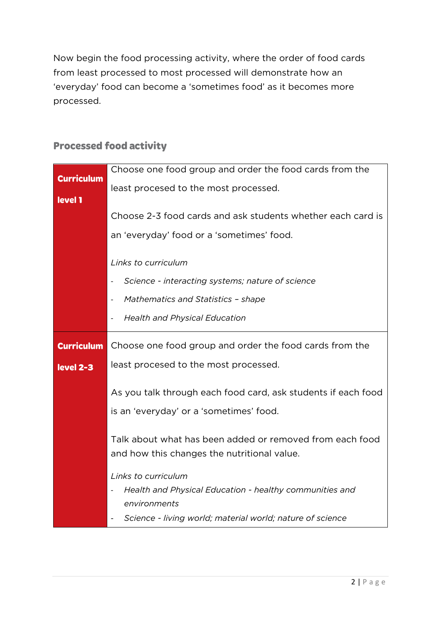Now begin the food processing activity, where the order of food cards from least processed to most processed will demonstrate how an from least processed to most processed will demonstrate how an 'everyday' food can become a 'sometimes food' as it becomes more processed.

|                   | Choose one food group and order the food cards from the            |
|-------------------|--------------------------------------------------------------------|
| <b>Curriculum</b> |                                                                    |
|                   | least procesed to the most processed.                              |
| level 1           |                                                                    |
|                   | Choose 2-3 food cards and ask students whether each card is        |
|                   |                                                                    |
|                   | an 'everyday' food or a 'sometimes' food.                          |
|                   |                                                                    |
|                   | Links to curriculum                                                |
|                   |                                                                    |
|                   | Science - interacting systems; nature of science                   |
|                   | Mathematics and Statistics - shape<br>$\qquad \qquad \blacksquare$ |
|                   |                                                                    |
|                   | <b>Health and Physical Education</b>                               |
|                   |                                                                    |
| <b>Curriculum</b> | Choose one food group and order the food cards from the            |
| level 2-3         | least procesed to the most processed.                              |
|                   |                                                                    |
|                   | As you talk through each food card, ask students if each food      |
|                   |                                                                    |
|                   | is an 'everyday' or a 'sometimes' food.                            |
|                   |                                                                    |
|                   | Talk about what has been added or removed from each food           |
|                   | and how this changes the nutritional value.                        |
|                   |                                                                    |
|                   | Links to curriculum                                                |
|                   | Health and Physical Education - healthy communities and            |
|                   | environments                                                       |
|                   |                                                                    |
|                   | Science - living world; material world; nature of science          |

# **Processed food activity**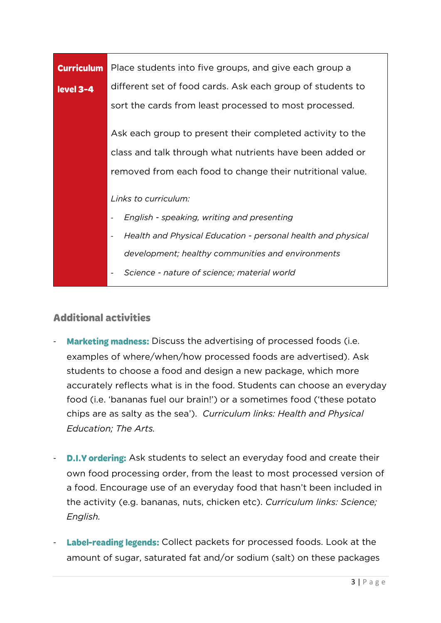| <b>Curriculum</b> | Place students into five groups, and give each group a       |  |  |  |  |  |
|-------------------|--------------------------------------------------------------|--|--|--|--|--|
| level 3-4         | different set of food cards. Ask each group of students to   |  |  |  |  |  |
|                   | sort the cards from least processed to most processed.       |  |  |  |  |  |
|                   | Ask each group to present their completed activity to the    |  |  |  |  |  |
|                   |                                                              |  |  |  |  |  |
|                   | class and talk through what nutrients have been added or     |  |  |  |  |  |
|                   | removed from each food to change their nutritional value.    |  |  |  |  |  |
|                   |                                                              |  |  |  |  |  |
|                   | Links to curriculum:                                         |  |  |  |  |  |
|                   | English - speaking, writing and presenting                   |  |  |  |  |  |
|                   | Health and Physical Education - personal health and physical |  |  |  |  |  |
|                   | development; healthy communities and environments            |  |  |  |  |  |
|                   | Science - nature of science; material world                  |  |  |  |  |  |

### **Additional activities**

- **Marketing madness:** Discuss the advertising of processed foods (i.e. examples of where/when/how processed foods are advertised). Ask students to choose a food and design a new package, which more accurately reflects what is in the food. Students can choose an everyday food (i.e. 'bananas fuel our brain!') or a sometimes food ('these potato for  $\mathcal{L}$  is the sometimes fuel our brain. The sometimes fuel our brain  $\mathcal{L}$  is the potential or a sometimes for  $\mathcal{L}$ chips are as salty as the sea'). *Curriculum links: Health and Physical Education; The Arts.*
- **D.I.Y ordering:** Ask students to select an everyday food and create their<br>own food processing order, from the least to most processed version of a food. Encourage use of an everyday food that hasn't been included in a food. Encourage use of an everyday food that has next that has next that has next the activity (e.g. bananas, nuts, chicken etc). *Curriculum links: Science; English.*
- Label-reading legends: Collect packets for processed foods. Look at the amount of sugar, saturated fat and/or sodium (salt) on these packages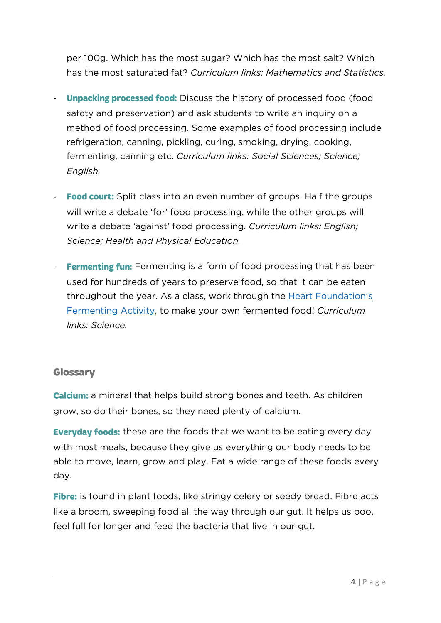per 100g. Which has the most sugar? Which has the most salt? Which<br>has the most saturated fat? *Curriculum links: Mathematics and Statistics*. has the most saturated fat? *Curriculum links: Mathematics and Statistics.*

- **Unpacking processed food:** Discuss the history of processed food (food safety and preservation) and ask students to write an inquiry on a method of food processing. Some examples of food processing include refrigeration, canning, pickling, curing, smoking, drying, cooking, fermenting, canning etc. Curriculum links: Social Sciences; Science; fermenting, canning etc. *Curriculum links: Social Sciences; Science; English.*
- Food court: Split class into an even number of groups. Half the groups will write a debate 'for' food processing, while the other groups will write a debate 'against' food processing. Curriculum links: English; write a debate 'against' food processing. *Curriculum links: English; Science; Health and Physical Education.*
- **Fermenting fun:** Fermenting is a form of food processing that has been<br>used for hundreds of years to preserve food, so that it can be eaten throughout the year. As a class, work through the Heart Foundation's Fermenting Activity, to make your own fermented food! Curriculum [Fermenting Activity,](https://www.heartfoundation.org.nz/educators/edu-resources/fermenting-food-skill-card) to make your own fermented food! *Curriculum links: Science.*

### **Glossary**

a mineral that helps build strong bones and teeth. As children grow, so do their bones, so they need plenty of calcium.

**Everyday foods:** these are the foods that we want to be eating every day with most meals, because they give us everything our body needs to be with most meals, because they give us every thing our body needs to be able to move, learn, grow and play. Each wide range of the second play. Each wide range of these foods every s day.

Fibre: is found in plant foods, like stringy celery or seedy bread. Fibre acts<br>like a broom, sweeping food all the way through our gut. It helps us poo, like a broom, sweeping food all the way through our gut. It helps us poo, feel full for longer and feed the bacteria that live in our gut.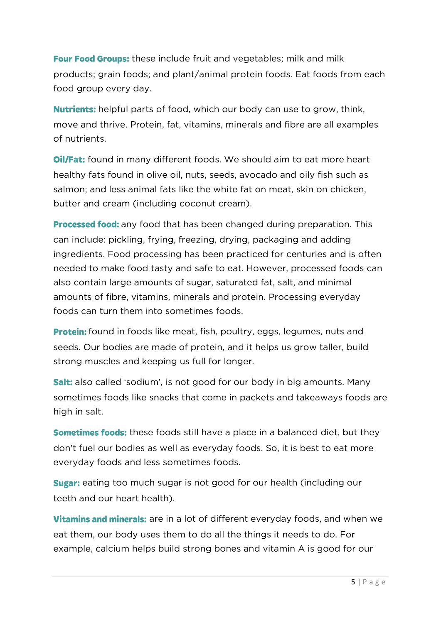**Four Food Groups:** these include fruit and vegetables; milk and milk<br>products: grain foods: and plant/animal protein foods. Eat foods from each products; grain foods; and plant/animal protein foods. Eat foods from each food group every day.

**Nutrients:** helpful parts of food, which our body can use to grow, think, move and thrive. Protein, fat. vitamins, minerals and fibre are all examples move and thrive. Protein, fat, vitamins, minerals and fibre are all examples of nutrients.

**Oil/Fat:** found in many different foods. We should aim to eat more heart healthy fats found in olive oil, nuts, seeds, avocado and oily fish such as salmon; and less animal fats like the white fat on meat, skin on chicken, butter and cream (including coconut cream). butter and cream (including coconut cream).

any food that has been changed during preparation. This can include: pickling, frying, freezing, drying, packaging and adding<br>ingredients. Food processing has been practiced for centuries and is often needed to make food tasty and safe to eat. However, processed foods can also contain large amounts of sugar, saturated fat, salt, and minimal amounts of fibre, vitamins, minerals and protein. Processing everyday foods can turn them into sometimes foods. foods can turn them into sometimes foods.

**Protein:** found in foods like meat, fish, poultry, eggs, legumes, nuts and<br>seeds. Our bodies are made of protein, and it helps us grow taller, build strong muscles and keeping us full for longer. strong muscles and keeping us full for longer.

**Salt:** also called 'sodium', is not good for our body in big amounts. Many sometimes foods like snacks that come in packets and takeaways foods are high in salt. high in salt.

**Sometimes foods:** these foods still have a place in a balanced diet, but they don't fuel our bodies as well as everyday foods. So, it is best to eat more don't fuel our bodies as well as well as young foods. So, it is best to eat more to eat more to eat more to eat everyday foods and less sometimes foods.

**Sugar:** eating too much sugar is not good for our health (including our teeth and our heart health). teeth and our heart health).

**Vitamins and minerals:** are in a lot of different everyday foods, and when we eat them, our body uses them to do all the things it needs to do. For eat them, our body uses them, our body uses them, our body uses them to do. For this tell the things it needs to example, calcium helps build strong bones and vitamin A is good for our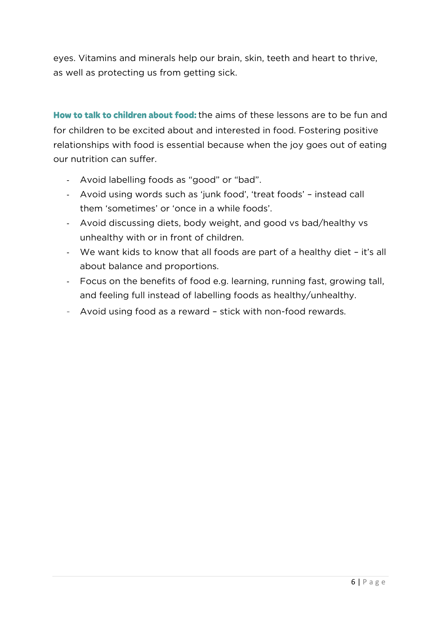eyes. Vitamins and minerals help our brain, skin, teeth and heart to thrive, as well as protecting us from getting sick. as well as protecting us from getting sick.

How to talk to children about food: the aims of these lessons are to be fun and for children to be excited about and interested in food. Fostering positive for children to be excited about and interested in food. Fostering positive relationships with food is essential because when the joy goes out of eating our nutrition can suffer.

- Avoid labelling foods as "good" or "bad".
- Avoid using words such as 'junk food', 'treat foods' instead call
- them 'sometimes' or 'once in a while foods'. - Avoid discussing diets, body weight, and good vs bad/healthy vs
- unhealthy with or in front of children. - We want kids to know that all foods are part of a healthy diet – it's all
- about balance and proportions. - Focus on the benefits of food e.g. learning, running fast, growing tall,<br>- The contract of the contract of the contract of the contract of the contract of the contract of the contract and feeling full instead of labelling foods as healthy/unhealthy.
- Avoid using food as a reward stick with non-food rewards.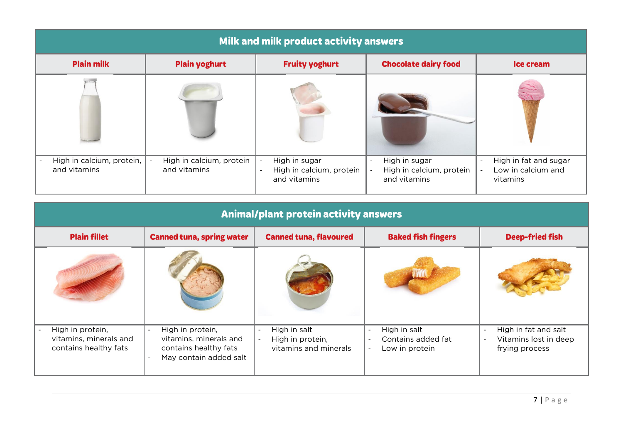| Milk and milk product activity answers    |                                          |                                                                                            |                                                                                                 |                                                                             |
|-------------------------------------------|------------------------------------------|--------------------------------------------------------------------------------------------|-------------------------------------------------------------------------------------------------|-----------------------------------------------------------------------------|
| <b>Plain milk</b>                         | <b>Plain yoghurt</b>                     | <b>Fruity yoghurt</b>                                                                      | <b>Chocolate dairy food</b>                                                                     | Ice cream                                                                   |
|                                           |                                          |                                                                                            |                                                                                                 |                                                                             |
| High in calcium, protein,<br>and vitamins | High in calcium, protein<br>and vitamins | High in sugar<br>$\overline{\phantom{a}}$<br>High in calcium, protein<br>-<br>and vitamins | High in sugar<br>$\sim$<br>High in calcium, protein<br>$\overline{\phantom{a}}$<br>and vitamins | High in fat and sugar<br>$\sim$<br>Low in calcium and<br>$\sim$<br>vitamins |

| <b>Animal/plant protein activity answers</b>                        |                                                                                                                           |                                                                               |                                                                                  |                                                                 |
|---------------------------------------------------------------------|---------------------------------------------------------------------------------------------------------------------------|-------------------------------------------------------------------------------|----------------------------------------------------------------------------------|-----------------------------------------------------------------|
| <b>Plain fillet</b>                                                 | <b>Canned tuna, spring water</b>                                                                                          | <b>Canned tuna, flavoured</b>                                                 | <b>Baked fish fingers</b>                                                        | <b>Deep-fried fish</b>                                          |
|                                                                     |                                                                                                                           |                                                                               |                                                                                  |                                                                 |
| High in protein,<br>vitamins, minerals and<br>contains healthy fats | High in protein,<br>$\overline{\phantom{a}}$<br>vitamins, minerals and<br>contains healthy fats<br>May contain added salt | High in salt<br>$\sim$<br>High in protein,<br>$\sim$<br>vitamins and minerals | High in salt<br>$\sim$<br>Contains added fat<br>Low in protein<br>$\blacksquare$ | High in fat and salt<br>Vitamins lost in deep<br>frying process |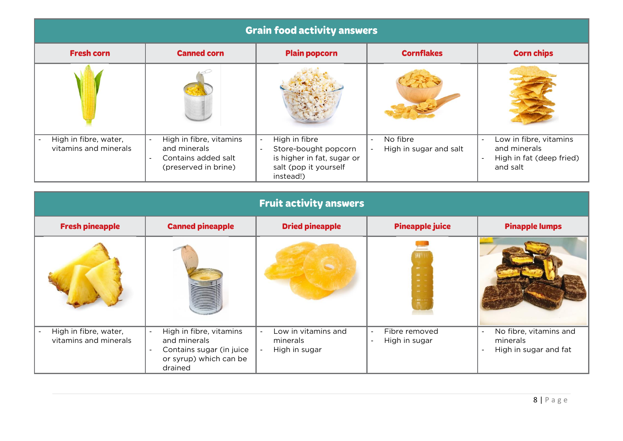| <b>Grain food activity answers</b>             |                                                                                        |                                                                                                                  |                                                                |                                                                                                                      |
|------------------------------------------------|----------------------------------------------------------------------------------------|------------------------------------------------------------------------------------------------------------------|----------------------------------------------------------------|----------------------------------------------------------------------------------------------------------------------|
| <b>Fresh corn</b>                              | <b>Canned corn</b>                                                                     | <b>Plain popcorn</b>                                                                                             | <b>Cornflakes</b>                                              | <b>Corn chips</b>                                                                                                    |
|                                                |                                                                                        |                                                                                                                  |                                                                |                                                                                                                      |
| High in fibre, water,<br>vitamins and minerals | High in fibre, vitamins<br>and minerals<br>Contains added salt<br>(preserved in brine) | High in fibre<br>. .<br>Store-bought popcorn<br>is higher in fat, sugar or<br>salt (pop it yourself<br>instead!) | No fibre<br>$\overline{\phantom{a}}$<br>High in sugar and salt | Low in fibre, vitamins<br>$\sim$<br>and minerals<br>High in fat (deep fried)<br>$\overline{\phantom{a}}$<br>and salt |

| <b>Fruit activity answers</b>                  |                                                                                                                            |                                                  |                                                                |                                                                                         |
|------------------------------------------------|----------------------------------------------------------------------------------------------------------------------------|--------------------------------------------------|----------------------------------------------------------------|-----------------------------------------------------------------------------------------|
| <b>Fresh pineapple</b>                         | <b>Canned pineapple</b>                                                                                                    | <b>Dried pineapple</b>                           | <b>Pineapple juice</b>                                         | <b>Pinapple lumps</b>                                                                   |
|                                                |                                                                                                                            |                                                  | $\sim$<br>and it<br>المنتقل<br>المجانب<br>$=$<br>$\frac{1}{2}$ |                                                                                         |
| High in fibre, water,<br>vitamins and minerals | High in fibre, vitamins<br>and minerals<br>Contains sugar (in juice<br>$\blacksquare$<br>or syrup) which can be<br>drained | Low in vitamins and<br>minerals<br>High in sugar | Fibre removed<br>High in sugar<br><b>.</b>                     | No fibre, vitamins and<br>$\overline{\phantom{a}}$<br>minerals<br>High in sugar and fat |